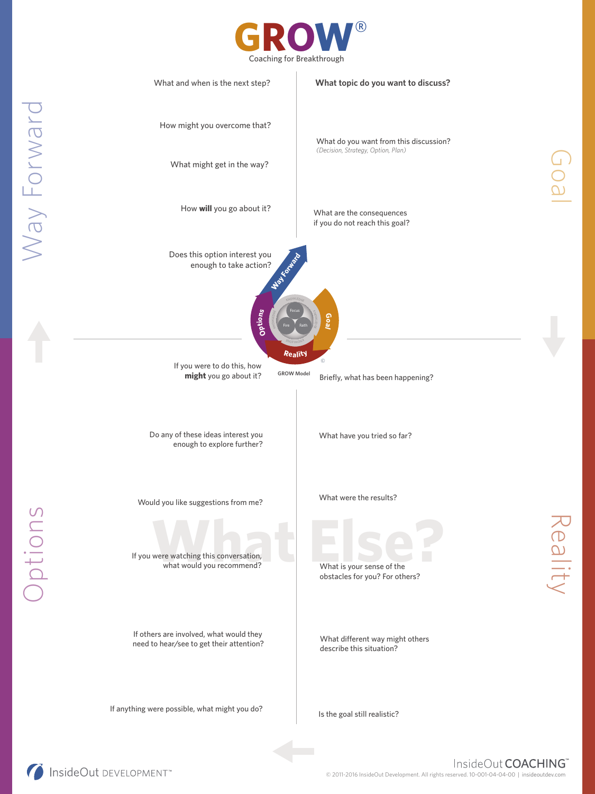



Way Forward Way Forward

Options

InsideOut DEVELOPMENT

Goal

Reality